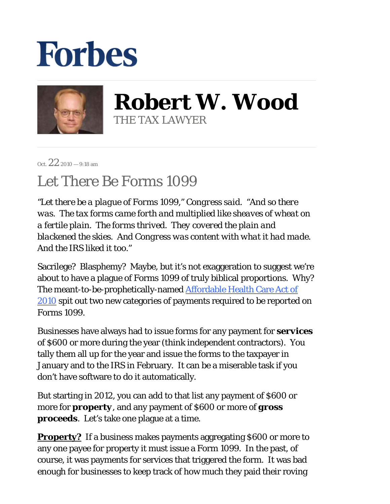## **Forbes**



**Robert W. Wood** THE TAX LAWYER

Oct.  $22_{2010 - 9:18 \text{ am}}$ 

## Let There Be Forms 1099

*"Let there be a plague of Forms 1099," Congress said. "And so there was. The tax forms came forth and multiplied like sheaves of wheat on a fertile plain. The forms thrived. They covered the plain and blackened the skies. And Congress was content with what it had made. And the IRS liked it too."*

Sacrilege? Blasphemy? Maybe, but it's not exaggeration to suggest we're about to have a plague of Forms 1099 of truly biblical proportions. Why? The meant-to-be-prophetically-named **Affordable Health Care Act of** 2010 spit out two new categories of payments required to be reported on Forms 1099.

Businesses have always had to issue forms for any payment for *services* of \$600 or more during the year (think independent contractors). You tally them all up for the year and issue the forms to the taxpayer in January and to the IRS in February. It can be a miserable task if you don't have software to do it automatically.

But starting in 2012, you can add to that list any payment of \$600 or more for *property*, and any payment of \$600 or more of *gross proceeds*. Let's take one plague at a time.

**Property?** If a business makes payments aggregating \$600 or more to any one payee for property it must issue a Form 1099. In the past, of course, it was payments for services that triggered the form. It was bad enough for businesses to keep track of how much they paid their roving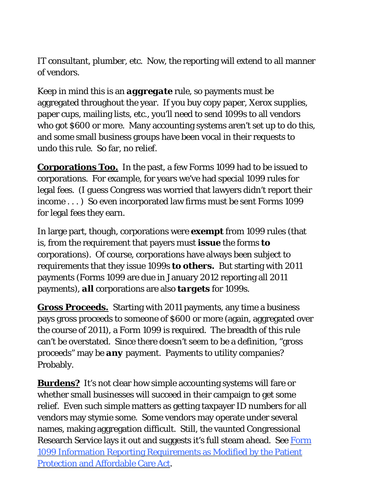IT consultant, plumber, etc. Now, the reporting will extend to all manner of vendors.

Keep in mind this is an *aggregate* rule, so payments must be aggregated throughout the year. If you buy copy paper, Xerox supplies, paper cups, mailing lists, etc., you'll need to send 1099s to all vendors who got \$600 or more. Many accounting systems aren't set up to do this, and some small business groups have been vocal in their requests to undo this rule. So far, no relief.

**Corporations Too.** In the past, a few Forms 1099 had to be issued to corporations. For example, for years we've had special 1099 rules for legal fees. (I guess Congress was worried that lawyers didn't report their income ...) So even incorporated law firms must be sent Forms 1099 for legal fees they earn.

In large part, though, corporations were *exempt* from 1099 rules (that is, from the requirement that payers must *issue* the forms *to*  corporations). Of course, corporations have always been subject to requirements that they issue 1099s *to others.* But starting with 2011 payments (Forms 1099 are due in January 2012 reporting all 2011 payments), *all* corporations are also *targets* for 1099s.

**Gross Proceeds.**Starting with 2011 payments, any time a business pays gross proceeds to someone of \$600 or more (again, aggregated over the course of 2011), a Form 1099 is required. The breadth of this rule can't be overstated. Since there doesn't seem to be a definition, "gross proceeds" may be *any* payment. Payments to utility companies? Probably.

**Burdens?** It's not clear how simple accounting systems will fare or whether small businesses will succeed in their campaign to get some relief. Even such simple matters as getting taxpayer ID numbers for all vendors may stymie some. Some vendors may operate under several names, making aggregation difficult. Still, the vaunted Congressional Research Service lays it out and suggests it's full steam ahead. See Form 1099 Information Reporting Requirements as Modified by the Patient Protection and Affordable Care Act.